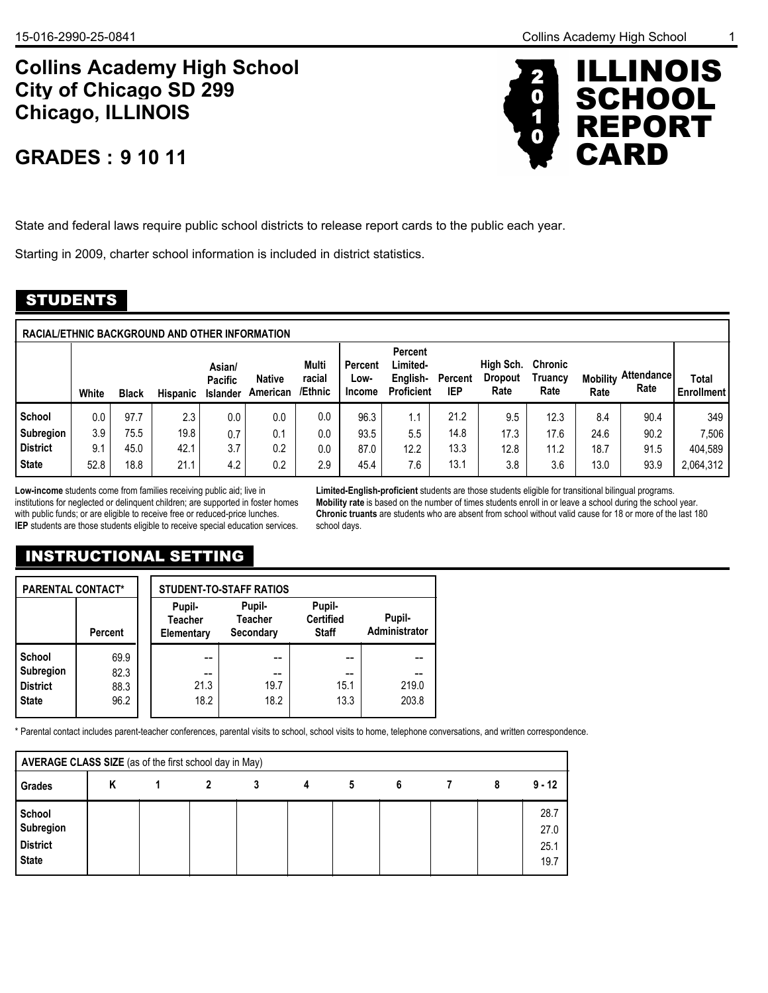# **Collins Academy High School Chicago, ILLINOIS City of Chicago SD 299**

# **9 10 11 GRADES :**



State and federal laws require public school districts to release report cards to the public each year.

Starting in 2009, charter school information is included in district statistics.

## STUDENTS

| RACIAL/ETHNIC BACKGROUND AND OTHER INFORMATION |       |              |                 |                                             |                           |                            |                           |                                                             |                              |                                     |                                   |                         |                     |                            |
|------------------------------------------------|-------|--------------|-----------------|---------------------------------------------|---------------------------|----------------------------|---------------------------|-------------------------------------------------------------|------------------------------|-------------------------------------|-----------------------------------|-------------------------|---------------------|----------------------------|
|                                                | White | <b>Black</b> | <b>Hispanic</b> | Asian/<br><b>Pacific</b><br><b>Islander</b> | <b>Native</b><br>American | Multi<br>racial<br>/Ethnic | Percent<br>Low-<br>Income | <b>Percent</b><br>Limited-<br>English-<br><b>Proficient</b> | <b>Percent</b><br><b>IEP</b> | High Sch.<br><b>Dropout</b><br>Rate | <b>Chronic</b><br>Truancy<br>Rate | <b>Mobility</b><br>Rate | Attendancel<br>Rate | Total<br><b>Enrollment</b> |
| School                                         | 0.0   | 97.7         | 2.3             | 0.0                                         | 0.0                       | 0.0                        | 96.3                      | 1.1                                                         | 21.2                         | 9.5                                 | 12.3                              | 8.4                     | 90.4                | 349                        |
| Subregion                                      | 3.9   | 75.5         | 19.8            | 0.7                                         | 0.1                       | 0.0                        | 93.5                      | 5.5                                                         | 14.8                         | 17.3                                | 17.6                              | 24.6                    | 90.2                | 7,506                      |
| <b>District</b>                                | 9.1   | 45.0         | 42.1            | 3.7                                         | 0.2                       | 0.0                        | 87.0                      | 12.2                                                        | 13.3                         | 12.8                                | 11.2                              | 18.7                    | 91.5                | 404,589                    |
| <b>State</b>                                   | 52.8  | 18.8         | 21.1            | 4.2                                         | 0.2                       | 2.9                        | 45.4                      | 7.6                                                         | 13.1                         | 3.8                                 | 3.6                               | 13.0                    | 93.9                | 2,064,312                  |

**Low-income** students come from families receiving public aid; live in institutions for neglected or delinquent children; are supported in foster homes with public funds; or are eligible to receive free or reduced-price lunches. **IEP** students are those students eligible to receive special education services.

**Limited-English-proficient** students are those students eligible for transitional bilingual programs. **Mobility rate** is based on the number of times students enroll in or leave a school during the school year. **Chronic truants** are students who are absent from school without valid cause for 18 or more of the last 180 school days.

# INSTRUCTIONAL SETTING

| <b>PARENTAL CONTACT*</b>                                      |                              |                                        | <b>STUDENT-TO-STAFF RATIOS</b>        |                                            |                         |
|---------------------------------------------------------------|------------------------------|----------------------------------------|---------------------------------------|--------------------------------------------|-------------------------|
|                                                               | <b>Percent</b>               | Pupil-<br><b>Teacher</b><br>Elementary | Pupil-<br><b>Teacher</b><br>Secondary | Pupil-<br><b>Certified</b><br><b>Staff</b> | Pupil-<br>Administrator |
| School<br><b>Subregion</b><br><b>District</b><br><b>State</b> | 69.9<br>82.3<br>88.3<br>96.2 | --<br>21.3<br>18.2                     | --<br>19.7<br>18.2                    | 15.1<br>13.3                               | 219.0<br>203.8          |

\* Parental contact includes parent-teacher conferences, parental visits to school, school visits to home, telephone conversations, and written correspondence.

|                                                        | AVERAGE CLASS SIZE (as of the first school day in May) |  |  |   |   |   |   |  |   |                              |  |  |
|--------------------------------------------------------|--------------------------------------------------------|--|--|---|---|---|---|--|---|------------------------------|--|--|
| <b>Grades</b>                                          | Κ                                                      |  |  | 3 | 4 | 5 | 6 |  | 8 | $9 - 12$                     |  |  |
| School<br>Subregion<br><b>District</b><br><b>State</b> |                                                        |  |  |   |   |   |   |  |   | 28.7<br>27.0<br>25.1<br>19.7 |  |  |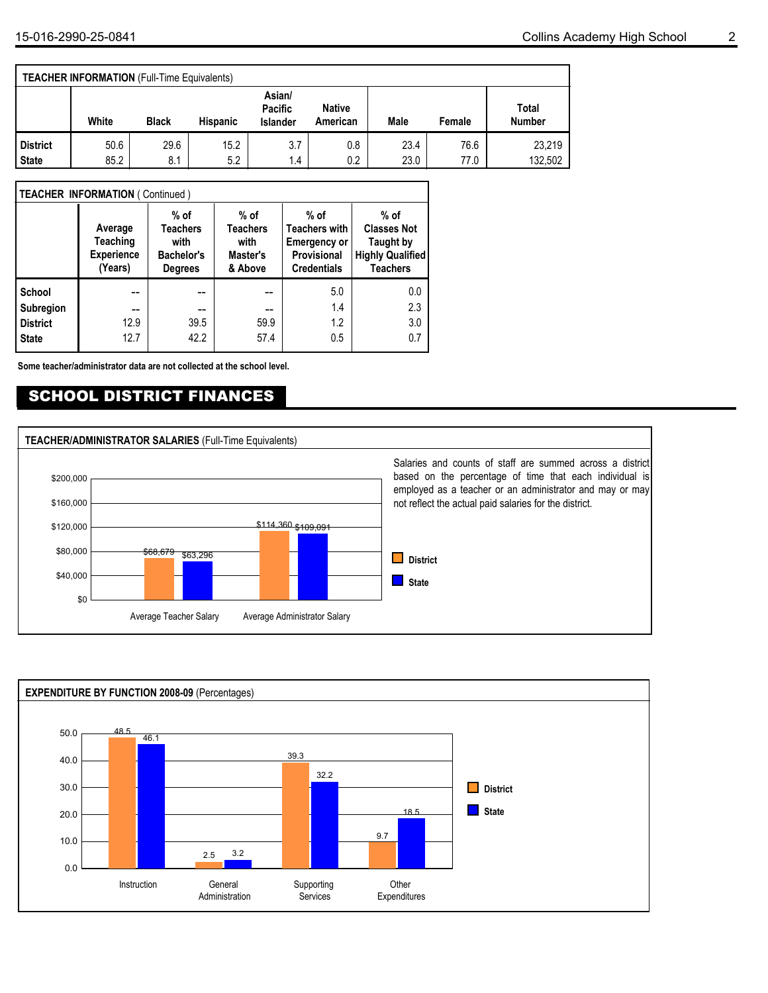|                                 | <b>TEACHER INFORMATION (Full-Time Equivalents)</b> |              |                 |                                      |                           |              |              |                        |
|---------------------------------|----------------------------------------------------|--------------|-----------------|--------------------------------------|---------------------------|--------------|--------------|------------------------|
|                                 | White                                              | <b>Black</b> | <b>Hispanic</b> | Asian/<br>Pacific<br><b>Islander</b> | <b>Native</b><br>American | Male         | Female       | Total<br><b>Number</b> |
| <b>District</b><br><b>State</b> | 50.6<br>85.2                                       | 29.6<br>8.1  | 15.2<br>5.2     | 3.7<br>1.4                           | 0.8<br>0.2                | 23.4<br>23.0 | 76.6<br>77.0 | 23.219<br>132.502      |

### **TEACHER INFORMATION** ( Continued )

|                 | Average<br><b>Teaching</b><br><b>Experience</b><br>(Years) | $%$ of<br><b>Teachers</b><br>with<br><b>Bachelor's</b><br><b>Degrees</b> | $%$ of<br><b>Teachers</b><br>with<br>Master's<br>& Above | $%$ of<br><b>Teachers with</b><br><b>Emergency or</b><br><b>Provisional</b><br><b>Credentials</b> | $%$ of<br><b>Classes Not</b><br><b>Taught by</b><br><b>Highly Qualified</b><br><b>Teachers</b> |
|-----------------|------------------------------------------------------------|--------------------------------------------------------------------------|----------------------------------------------------------|---------------------------------------------------------------------------------------------------|------------------------------------------------------------------------------------------------|
| School          |                                                            |                                                                          |                                                          | 5.0                                                                                               | 0.0                                                                                            |
| Subregion       | --                                                         | --                                                                       | --                                                       | 1.4                                                                                               | 2.3                                                                                            |
| <b>District</b> | 12.9                                                       | 39.5                                                                     | 59.9                                                     | 1.2                                                                                               | 3.0                                                                                            |
| <b>State</b>    | 12.7                                                       | 42.2                                                                     | 57.4                                                     | 0.5                                                                                               | 0.7                                                                                            |

**Some teacher/administrator data are not collected at the school level.**

## SCHOOL DISTRICT FINANCES



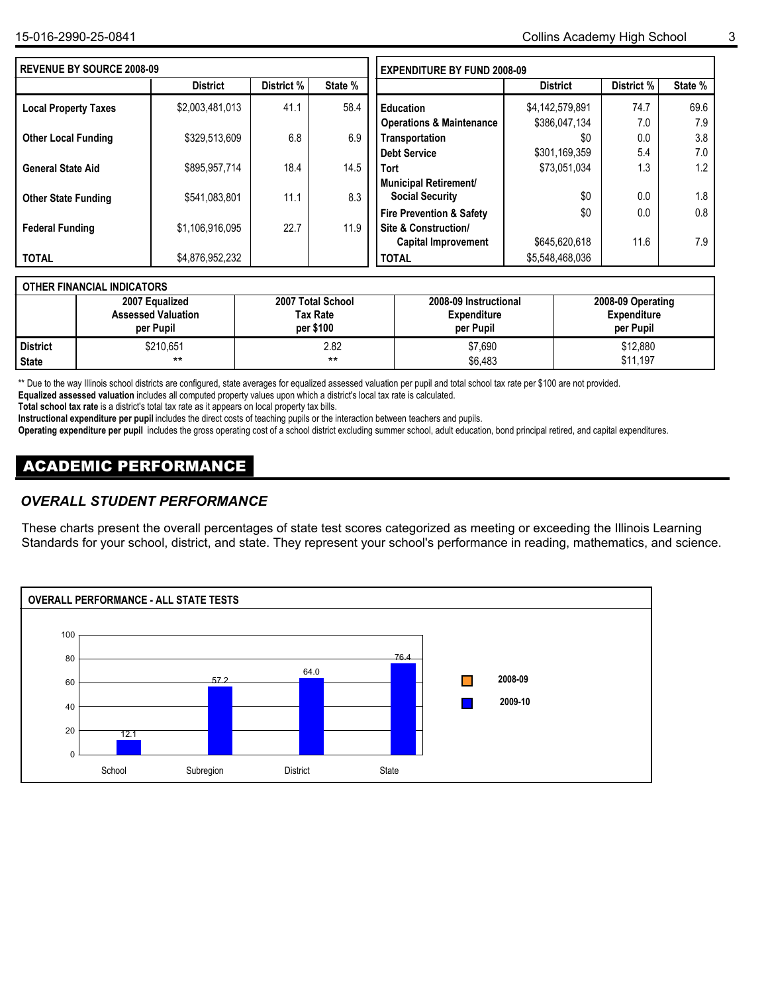| <b>REVENUE BY SOURCE 2008-09</b> |                 |            |         | <b>EXPENDITURE BY FUND 2008-09</b>  |                 |            |         |  |  |
|----------------------------------|-----------------|------------|---------|-------------------------------------|-----------------|------------|---------|--|--|
|                                  | <b>District</b> | District % | State % |                                     | <b>District</b> | District % | State % |  |  |
| <b>Local Property Taxes</b>      | \$2,003,481,013 | 41.1       | 58.4    | <b>Education</b>                    | \$4,142,579,891 | 74.7       | 69.6    |  |  |
|                                  |                 |            |         | <b>Operations &amp; Maintenance</b> | \$386.047.134   | 7.0        | 7.9     |  |  |
| <b>Other Local Funding</b>       | \$329.513.609   | 6.8        | 6.9     | Transportation                      | \$0             | 0.0        | 3.8     |  |  |
|                                  |                 |            |         | <b>Debt Service</b>                 | \$301,169,359   | 5.4        | 7.0     |  |  |
| <b>General State Aid</b>         | \$895.957.714   | 18.4       | 14.5    | <b>Tort</b>                         | \$73,051,034    | 1.3        | 1.2     |  |  |
|                                  |                 |            |         | <b>Municipal Retirement/</b>        |                 |            |         |  |  |
| <b>Other State Funding</b>       | \$541,083,801   | 11.1       | 8.3     | <b>Social Security</b>              | \$0             | 0.0        | 1.8     |  |  |
|                                  |                 |            |         | <b>Fire Prevention &amp; Safety</b> | \$0             | 0.0        | 0.8     |  |  |
| <b>Federal Funding</b>           | \$1,106,916,095 | 22.7       | 11.9    | Site & Construction/                |                 |            |         |  |  |
|                                  |                 |            |         | <b>Capital Improvement</b>          | \$645,620,618   | 11.6       | 7.9     |  |  |
| <b>TOTAL</b>                     | \$4,876,952,232 |            |         | <b>TOTAL</b>                        | \$5,548,468,036 |            |         |  |  |

### **OTHER FINANCIAL INDICATORS**

|                 | 2007 Equalized            | 2007 Total School | 2008-09 Instructional | 2008-09 Operating  |
|-----------------|---------------------------|-------------------|-----------------------|--------------------|
|                 | <b>Assessed Valuation</b> | Tax Rate          | <b>Expenditure</b>    | <b>Expenditure</b> |
|                 | per Pupil                 | per \$100         | per Pupil             | per Pupil          |
| <b>District</b> | \$210,651                 | 2.82              | \$7,690               | \$12,880           |
| State           | $***$                     | $***$             | \$6,483               | \$11.197           |

\*\* Due to the way Illinois school districts are configured, state averages for equalized assessed valuation per pupil and total school tax rate per \$100 are not provided.

**Equalized assessed valuation** includes all computed property values upon which a district's local tax rate is calculated.

**Total school tax rate** is a district's total tax rate as it appears on local property tax bills.

**Instructional expenditure per pupil** includes the direct costs of teaching pupils or the interaction between teachers and pupils.

**Operating expenditure per pupil** includes the gross operating cost of a school district excluding summer school, adult education, bond principal retired, and capital expenditures.

### ACADEMIC PERFORMANCE

### *OVERALL STUDENT PERFORMANCE*

These charts present the overall percentages of state test scores categorized as meeting or exceeding the Illinois Learning Standards for your school, district, and state. They represent your school's performance in reading, mathematics, and science.

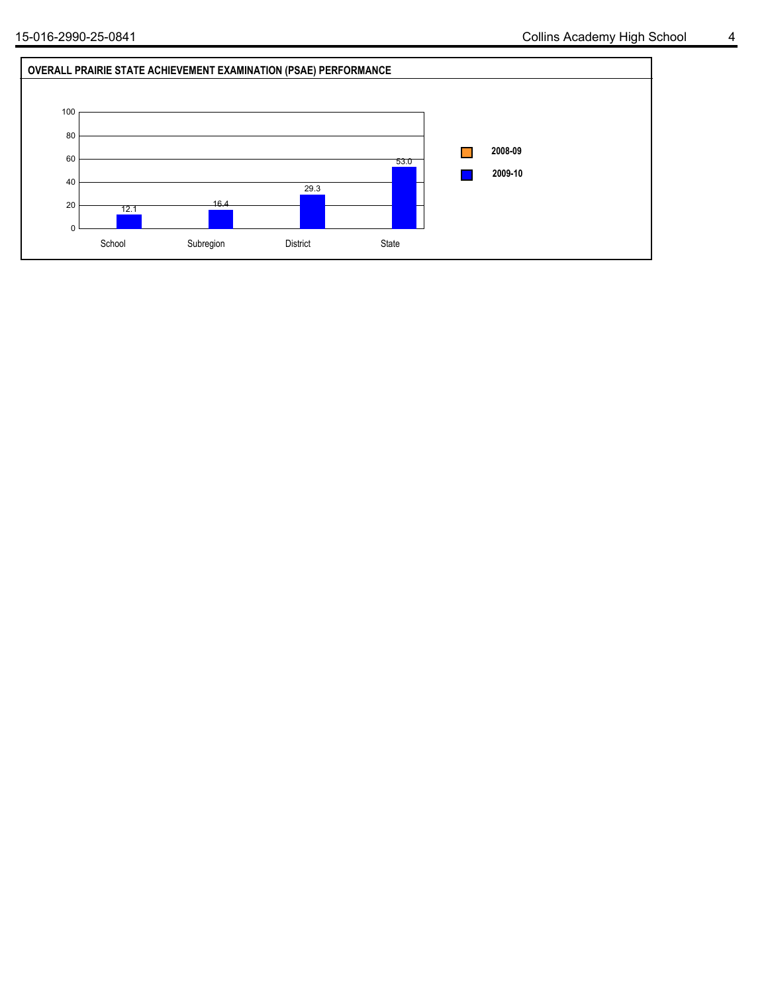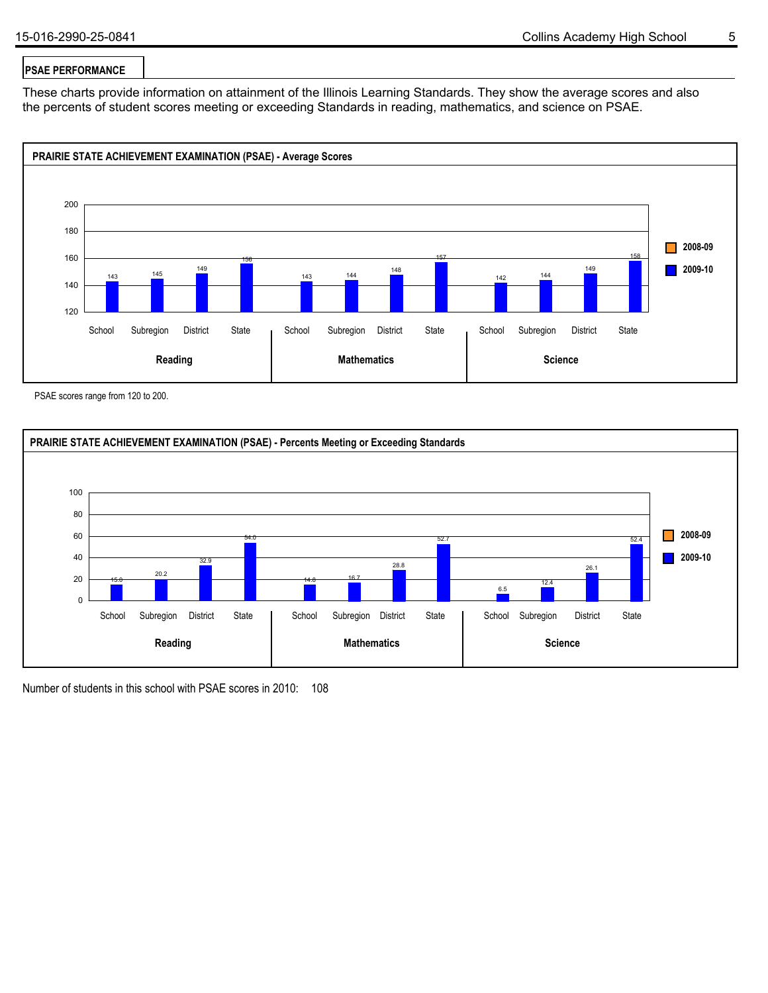### **PSAE PERFORMANCE**

These charts provide information on attainment of the Illinois Learning Standards. They show the average scores and also the percents of student scores meeting or exceeding Standards in reading, mathematics, and science on PSAE.



PSAE scores range from 120 to 200.



Number of students in this school with PSAE scores in 2010: 108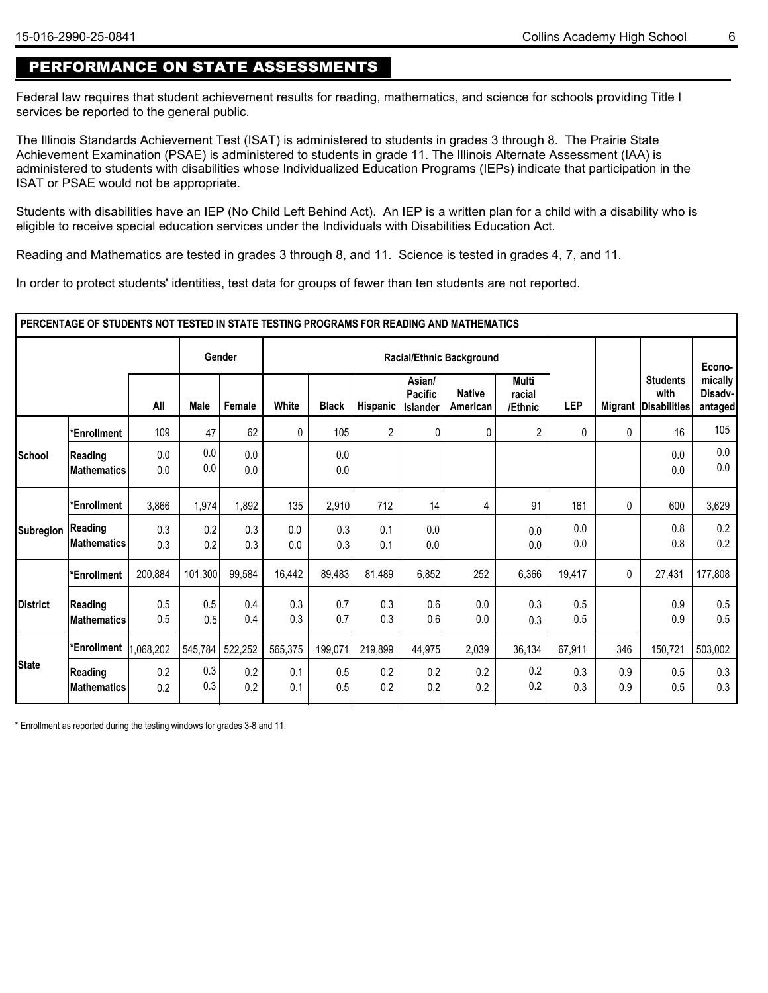# PERFORMANCE ON STATE ASSESSMENTS

Federal law requires that student achievement results for reading, mathematics, and science for schools providing Title I services be reported to the general public.

The Illinois Standards Achievement Test (ISAT) is administered to students in grades 3 through 8. The Prairie State Achievement Examination (PSAE) is administered to students in grade 11. The Illinois Alternate Assessment (IAA) is administered to students with disabilities whose Individualized Education Programs (IEPs) indicate that participation in the ISAT or PSAE would not be appropriate.

Students with disabilities have an IEP (No Child Left Behind Act). An IEP is a written plan for a child with a disability who is eligible to receive special education services under the Individuals with Disabilities Education Act.

Reading and Mathematics are tested in grades 3 through 8, and 11. Science is tested in grades 4, 7, and 11.

In order to protect students' identities, test data for groups of fewer than ten students are not reported.

|                 | PERCENTAGE OF STUDENTS NOT TESTED IN STATE TESTING PROGRAMS FOR READING AND MATHEMATICS |            |            |            |            |              |            |                                             |                           |                                   |            |                |                                         |                               |
|-----------------|-----------------------------------------------------------------------------------------|------------|------------|------------|------------|--------------|------------|---------------------------------------------|---------------------------|-----------------------------------|------------|----------------|-----------------------------------------|-------------------------------|
|                 |                                                                                         |            |            | Gender     |            |              |            |                                             | Racial/Ethnic Background  |                                   |            |                |                                         | Econo-                        |
|                 |                                                                                         | All        | Male       | Female     | White      | <b>Black</b> | Hispanic   | Asian/<br><b>Pacific</b><br><b>Islander</b> | <b>Native</b><br>American | <b>Multi</b><br>racial<br>/Ethnic | <b>LEP</b> | <b>Migrant</b> | <b>Students</b><br>with<br>Disabilities | mically<br>Disadv-<br>antaged |
|                 | *Enrollment                                                                             | 109        | 47         | 62         | 0          | 105          | 2          | 0                                           | 0                         | $\overline{2}$                    | 0          | $\mathbf{0}$   | 16                                      | 105                           |
| School          | <b>Reading</b><br><b>IMathematics</b>                                                   | 0.0<br>0.0 | 0.0<br>0.0 | 0.0<br>0.0 |            | 0.0<br>0.0   |            |                                             |                           |                                   |            |                | 0.0<br>0.0                              | 0.0<br>0.0                    |
|                 | *Enrollment                                                                             | 3,866      | 1,974      | 1,892      | 135        | 2,910        | 712        | 14                                          | 4                         | 91                                | 161        | $\mathbf{0}$   | 600                                     | 3,629                         |
| Subregion       | Reading<br><b>IMathematics</b>                                                          | 0.3<br>0.3 | 0.2<br>0.2 | 0.3<br>0.3 | 0.0<br>0.0 | 0.3<br>0.3   | 0.1<br>0.1 | 0.0<br>0.0                                  |                           | 0.0<br>0.0                        | 0.0<br>0.0 |                | 0.8<br>0.8                              | 0.2<br>0.2                    |
|                 | *Enrollment                                                                             | 200,884    | 101,300    | 99,584     | 16,442     | 89,483       | 81,489     | 6,852                                       | 252                       | 6,366                             | 19,417     | 0              | 27,431                                  | 177,808                       |
| <b>District</b> | <b>Reading</b><br><b>IMathematics</b>                                                   | 0.5<br>0.5 | 0.5<br>0.5 | 0.4<br>0.4 | 0.3<br>0.3 | 0.7<br>0.7   | 0.3<br>0.3 | 0.6<br>0.6                                  | 0.0<br>0.0                | 0.3<br>0.3                        | 0.5<br>0.5 |                | 0.9<br>0.9                              | 0.5<br>0.5                    |
|                 | *Enrollment                                                                             | 1,068,202  | 545,784    | 522,252    | 565,375    | 199,071      | 219,899    | 44,975                                      | 2,039                     | 36,134                            | 67,911     | 346            | 150,721                                 | 503,002                       |
| <b>State</b>    | <b>Reading</b><br>Mathematics                                                           | 0.2<br>0.2 | 0.3<br>0.3 | 0.2<br>0.2 | 0.1<br>0.1 | 0.5<br>0.5   | 0.2<br>0.2 | 0.2<br>0.2                                  | 0.2<br>0.2                | 0.2<br>0.2                        | 0.3<br>0.3 | 0.9<br>0.9     | 0.5<br>0.5                              | 0.3<br>0.3                    |

\* Enrollment as reported during the testing windows for grades 3-8 and 11.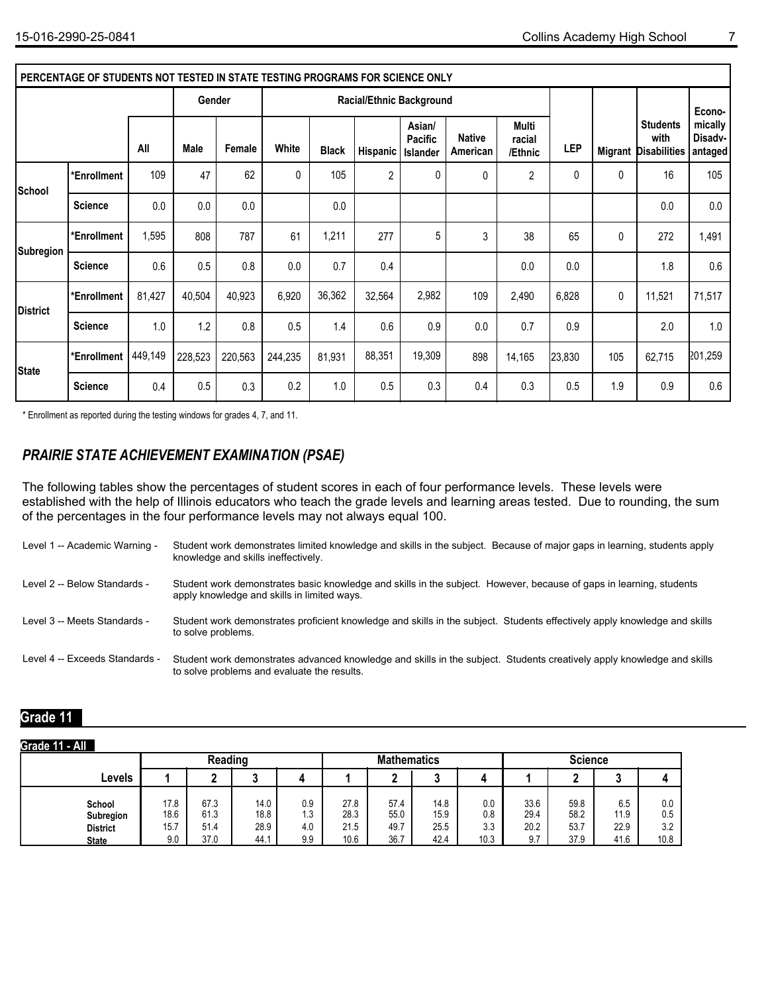|                 | PERCENTAGE OF STUDENTS NOT TESTED IN STATE TESTING PROGRAMS FOR SCIENCE ONLY |         |         |         |         |              |                                 |                                             |                           |                            |        |              |                                                        |                               |
|-----------------|------------------------------------------------------------------------------|---------|---------|---------|---------|--------------|---------------------------------|---------------------------------------------|---------------------------|----------------------------|--------|--------------|--------------------------------------------------------|-------------------------------|
|                 |                                                                              |         | Gender  |         |         |              | <b>Racial/Ethnic Background</b> |                                             |                           |                            |        |              |                                                        | Econo-                        |
|                 |                                                                              | All     | Male    | Female  | White   | <b>Black</b> | Hispanic                        | Asian/<br><b>Pacific</b><br><b>Islander</b> | <b>Native</b><br>American | Multi<br>racial<br>/Ethnic | LEP    |              | <b>Students</b><br>with<br><b>Migrant Disabilities</b> | mically<br>Disadv-<br>antaged |
| School          | *Enrollment                                                                  | 109     | 47      | 62      | 0       | 105          | $\overline{2}$                  | 0                                           | 0                         | $\overline{2}$             | 0      | $\mathbf{0}$ | 16                                                     | 105                           |
|                 | <b>Science</b>                                                               | 0.0     | 0.0     | 0.0     |         | 0.0          |                                 |                                             |                           |                            |        |              | 0.0                                                    | 0.0                           |
| Subregion       | *Enrollment                                                                  | 1,595   | 808     | 787     | 61      | 1,211        | 277                             | 5                                           | 3                         | 38                         | 65     | 0            | 272                                                    | 1,491                         |
|                 | <b>Science</b>                                                               | 0.6     | 0.5     | 0.8     | 0.0     | 0.7          | 0.4                             |                                             |                           | 0.0                        | 0.0    |              | 1.8                                                    | 0.6                           |
| <b>District</b> | *Enrollment                                                                  | 81,427  | 40,504  | 40,923  | 6,920   | 36,362       | 32,564                          | 2,982                                       | 109                       | 2,490                      | 6,828  | 0            | 11,521                                                 | 71,517                        |
|                 | <b>Science</b>                                                               | 1.0     | 1.2     | 0.8     | 0.5     | 1.4          | 0.6                             | 0.9                                         | 0.0                       | 0.7                        | 0.9    |              | 2.0                                                    | 1.0                           |
| <b>State</b>    | *Enrollment                                                                  | 449,149 | 228,523 | 220,563 | 244,235 | 81,931       | 88,351                          | 19,309                                      | 898                       | 14,165                     | 23,830 | 105          | 62,715                                                 | 201,259                       |
|                 | <b>Science</b>                                                               | 0.4     | 0.5     | 0.3     | 0.2     | 1.0          | 0.5                             | 0.3                                         | 0.4                       | 0.3                        | 0.5    | 1.9          | 0.9                                                    | 0.6                           |

\* Enrollment as reported during the testing windows for grades 4, 7, and 11.

### *PRAIRIE STATE ACHIEVEMENT EXAMINATION (PSAE)*

The following tables show the percentages of student scores in each of four performance levels. These levels were established with the help of Illinois educators who teach the grade levels and learning areas tested. Due to rounding, the sum of the percentages in the four performance levels may not always equal 100.

| Level 1 -- Academic Warning -  | Student work demonstrates limited knowledge and skills in the subject. Because of major gaps in learning, students apply<br>knowledge and skills ineffectively.       |
|--------------------------------|-----------------------------------------------------------------------------------------------------------------------------------------------------------------------|
| Level 2 -- Below Standards -   | Student work demonstrates basic knowledge and skills in the subject. However, because of gaps in learning, students<br>apply knowledge and skills in limited ways.    |
| Level 3 -- Meets Standards -   | Student work demonstrates proficient knowledge and skills in the subject. Students effectively apply knowledge and skills<br>to solve problems.                       |
| Level 4 -- Exceeds Standards - | Student work demonstrates advanced knowledge and skills in the subject. Students creatively apply knowledge and skills<br>to solve problems and evaluate the results. |

### **Grade 11**

| Grade 11 - All                                         |                             |                              |                              |                          |                              |                              |                              |                           |                             |                              |                             |                           |  |
|--------------------------------------------------------|-----------------------------|------------------------------|------------------------------|--------------------------|------------------------------|------------------------------|------------------------------|---------------------------|-----------------------------|------------------------------|-----------------------------|---------------------------|--|
|                                                        |                             | Reading                      |                              |                          |                              | <b>Mathematics</b>           |                              |                           | <b>Science</b>              |                              |                             |                           |  |
| Levels                                                 |                             |                              | ◠                            |                          |                              | n                            |                              |                           |                             | ◠                            | ◠<br>υ                      |                           |  |
| School<br>Subregion<br><b>District</b><br><b>State</b> | 17.8<br>18.6<br>15.7<br>9.0 | 67.3<br>61.3<br>51.4<br>37.0 | 14.0<br>18.8<br>28.9<br>44.1 | 0.9<br>1.3<br>4.0<br>9.9 | 27.8<br>28.3<br>21.5<br>10.6 | 57.4<br>55.0<br>49.7<br>36.7 | 14.8<br>15.9<br>25.5<br>42.4 | 0.0<br>0.8<br>3.3<br>10.3 | 33.6<br>29.4<br>20.2<br>9.7 | 59.8<br>58.2<br>53.7<br>37.9 | 6.5<br>11.9<br>22.9<br>41.6 | 0.0<br>0.5<br>3.2<br>10.8 |  |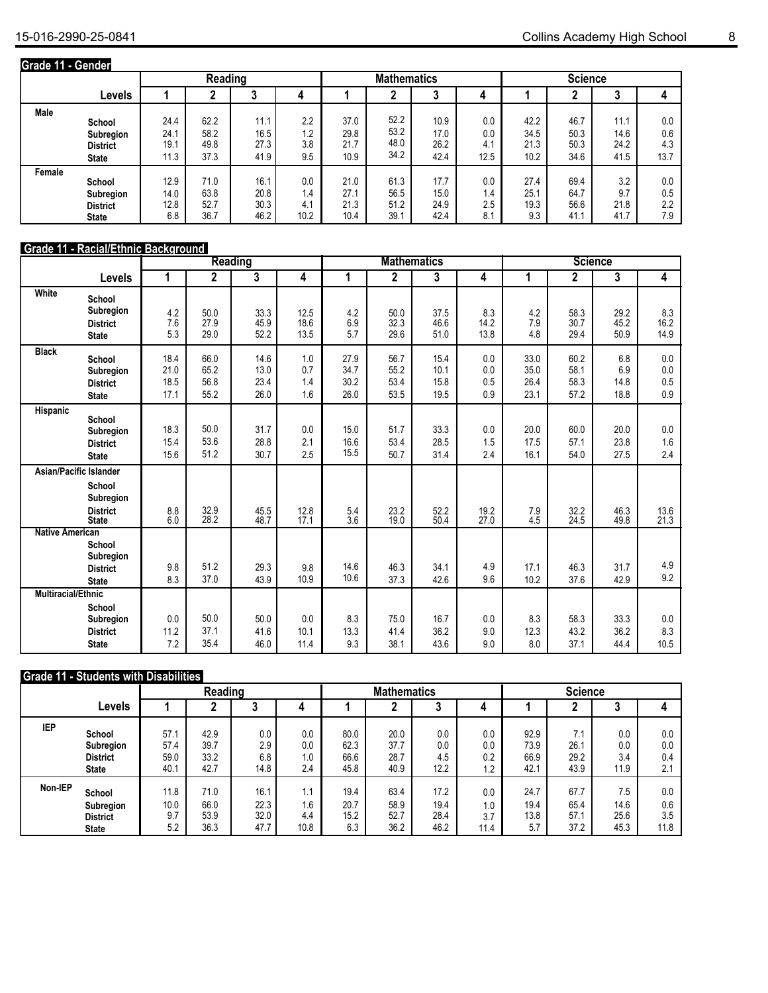| Grade 11 - Gender |                                                        |                              |                              |                              |                           |                              |                              |                              |                           |                              |                              |                              |                           |  |
|-------------------|--------------------------------------------------------|------------------------------|------------------------------|------------------------------|---------------------------|------------------------------|------------------------------|------------------------------|---------------------------|------------------------------|------------------------------|------------------------------|---------------------------|--|
|                   |                                                        |                              | Reading                      |                              |                           |                              | <b>Mathematics</b>           |                              |                           |                              | <b>Science</b>               |                              |                           |  |
|                   | <b>Levels</b>                                          |                              |                              | J.                           | 4                         |                              |                              | J                            | 4                         |                              |                              | J                            |                           |  |
| <b>Male</b>       | School<br>Subregion<br><b>District</b><br><b>State</b> | 24.4<br>24.1<br>19.1<br>11.3 | 62.2<br>58.2<br>49.8<br>37.3 | 11.1<br>16.5<br>27.3<br>41.9 | 2.2<br>1.2<br>3.8<br>9.5  | 37.0<br>29.8<br>21.7<br>10.9 | 52.2<br>53.2<br>48.0<br>34.2 | 10.9<br>17.0<br>26.2<br>42.4 | 0.0<br>0.0<br>4.1<br>12.5 | 42.2<br>34.5<br>21.3<br>10.2 | 46.7<br>50.3<br>50.3<br>34.6 | 11.1<br>14.6<br>24.2<br>41.5 | 0.0<br>0.6<br>4.3<br>13.7 |  |
| Female            | School<br>Subregion<br><b>District</b><br><b>State</b> | 12.9<br>14.0<br>12.8<br>6.8  | 71.0<br>63.8<br>52.7<br>36.7 | 16.1<br>20.8<br>30.3<br>46.2 | 0.0<br>1.4<br>4.1<br>10.2 | 21.0<br>27.1<br>21.3<br>10.4 | 61.3<br>56.5<br>51.2<br>39.1 | 17.7<br>15.0<br>24.9<br>42.4 | 0.0<br>1.4<br>2.5<br>8.1  | 27.4<br>25.1<br>19.3<br>9.3  | 69.4<br>64.7<br>56.6<br>41.1 | 3.2<br>9.7<br>21.8<br>41.7   | 0.0<br>0.5<br>2.2<br>7.9  |  |

### **Grade 11 - Racial/Ethnic Background**

|                           |                                                                                         |                              |                              | <b>Reading</b>               |                          |                              |                              | <b>Mathematics</b>           |                          | <b>Science</b>               |                              |                            |                              |
|---------------------------|-----------------------------------------------------------------------------------------|------------------------------|------------------------------|------------------------------|--------------------------|------------------------------|------------------------------|------------------------------|--------------------------|------------------------------|------------------------------|----------------------------|------------------------------|
|                           | <b>Levels</b>                                                                           | 1                            | $\mathbf{2}$                 | 3                            | 4                        | 1                            | 2                            | 3                            | 4                        | 1                            | $\mathbf 2$                  | 3                          | 4                            |
| White                     | School<br>Subregion<br><b>District</b><br><b>State</b>                                  | 4.2<br>7.6<br>5.3            | 50.0<br>27.9<br>29.0         | 33.3<br>45.9<br>52.2         | 12.5<br>18.6<br>13.5     | 4.2<br>6.9<br>5.7            | 50.0<br>32.3<br>29.6         | 37.5<br>46.6<br>51.0         | 8.3<br>14.2<br>13.8      | 4.2<br>7.9<br>4.8            | 58.3<br>30.7<br>29.4         | 29.2<br>45.2<br>50.9       | 8.3<br>16.2<br>14.9          |
| <b>Black</b>              | School<br>Subregion<br><b>District</b><br><b>State</b>                                  | 18.4<br>21.0<br>18.5<br>17.1 | 66.0<br>65.2<br>56.8<br>55.2 | 14.6<br>13.0<br>23.4<br>26.0 | 1.0<br>0.7<br>1.4<br>1.6 | 27.9<br>34.7<br>30.2<br>26.0 | 56.7<br>55.2<br>53.4<br>53.5 | 15.4<br>10.1<br>15.8<br>19.5 | 0.0<br>0.0<br>0.5<br>0.9 | 33.0<br>35.0<br>26.4<br>23.1 | 60.2<br>58.1<br>58.3<br>57.2 | 6.8<br>6.9<br>14.8<br>18.8 | 0.0<br>$0.0\,$<br>0.5<br>0.9 |
| Hispanic                  | School<br><b>Subregion</b><br><b>District</b><br><b>State</b>                           | 18.3<br>15.4<br>15.6         | 50.0<br>53.6<br>51.2         | 31.7<br>28.8<br>30.7         | 0.0<br>2.1<br>2.5        | 15.0<br>16.6<br>15.5         | 51.7<br>53.4<br>50.7         | 33.3<br>28.5<br>31.4         | 0.0<br>1.5<br>2.4        | 20.0<br>17.5<br>16.1         | 60.0<br>57.1<br>54.0         | 20.0<br>23.8<br>27.5       | 0.0<br>1.6<br>2.4            |
|                           | Asian/Pacific Islander<br>School<br><b>Subregion</b><br><b>District</b><br><b>State</b> | 8.8<br>6.0                   | 32.9<br>28.2                 | 45.5<br>48.7                 | 12.8<br>17.1             | 5.4<br>3.6                   | 23.2<br>19.0                 | 52.2<br>50.4                 | 19.2<br>27.0             | 7.9<br>4.5                   | 32.2<br>24.5                 | 46.3<br>49.8               | 13.6<br>21.3                 |
| <b>Native American</b>    | School<br>Subregion<br><b>District</b><br><b>State</b>                                  | 9.8<br>8.3                   | 51.2<br>37.0                 | 29.3<br>43.9                 | 9.8<br>10.9              | 14.6<br>10.6                 | 46.3<br>37.3                 | 34.1<br>42.6                 | 4.9<br>9.6               | 17.1<br>10.2                 | 46.3<br>37.6                 | 31.7<br>42.9               | 4.9<br>9.2                   |
| <b>Multiracial/Ethnic</b> | School<br>Subregion<br><b>District</b><br><b>State</b>                                  | 0.0<br>11.2<br>7.2           | 50.0<br>37.1<br>35.4         | 50.0<br>41.6<br>46.0         | 0.0<br>10.1<br>11.4      | 8.3<br>13.3<br>9.3           | 75.0<br>41.4<br>38.1         | 16.7<br>36.2<br>43.6         | 0.0<br>9.0<br>9.0        | 8.3<br>12.3<br>8.0           | 58.3<br>43.2<br>37.1         | 33.3<br>36.2<br>44.4       | 0.0<br>8.3<br>10.5           |

### **Grade 11 - Students with Disabilities**

|            |                 |      | Reading |      |      |      | <b>Mathematics</b> |      |      | <b>Science</b> |      |      |      |
|------------|-----------------|------|---------|------|------|------|--------------------|------|------|----------------|------|------|------|
|            | Levels          |      |         | u    |      |      |                    |      |      |                |      | J    |      |
| <b>IEP</b> | School          | 57.1 | 42.9    | 0.0  | 0.0  | 80.0 | 20.0               | 0.0  | 0.0  | 92.9           | 7.1  | 0.0  | 0.0  |
|            | Subregion       | 57.4 | 39.7    | 2.9  | 0.0  | 62.3 | 37.7               | 0.0  | 0.0  | 73.9           | 26.1 | 0.0  | 0.0  |
|            | <b>District</b> | 59.0 | 33.2    | 6.8  | 1.0  | 66.6 | 28.7               | 4.5  | 0.2  | 66.9           | 29.2 | 3.4  | 0.4  |
|            | <b>State</b>    | 40.1 | 42.7    | 14.8 | 2.4  | 45.8 | 40.9               | 12.2 | 1.2  | 42.1           | 43.9 | 11.9 | 2.1  |
| Non-IEP    | School          | 11.8 | 71.0    | 16.1 | 1.1  | 19.4 | 63.4               | 17.2 | 0.0  | 24.7           | 67.7 | 7.5  | 0.0  |
|            | Subregion       | 10.0 | 66.0    | 22.3 | 1.6  | 20.7 | 58.9               | 19.4 | 1.0  | 19.4           | 65.4 | 14.6 | 0.6  |
|            | <b>District</b> | 9.7  | 53.9    | 32.0 | 4.4  | 15.2 | 52.7               | 28.4 | 3.7  | 13.8           | 57.1 | 25.6 | 3.5  |
|            | <b>State</b>    | 5.2  | 36.3    | 47.7 | 10.8 | 6.3  | 36.2               | 46.2 | 11.4 | 5.7            | 37.2 | 45.3 | 11.8 |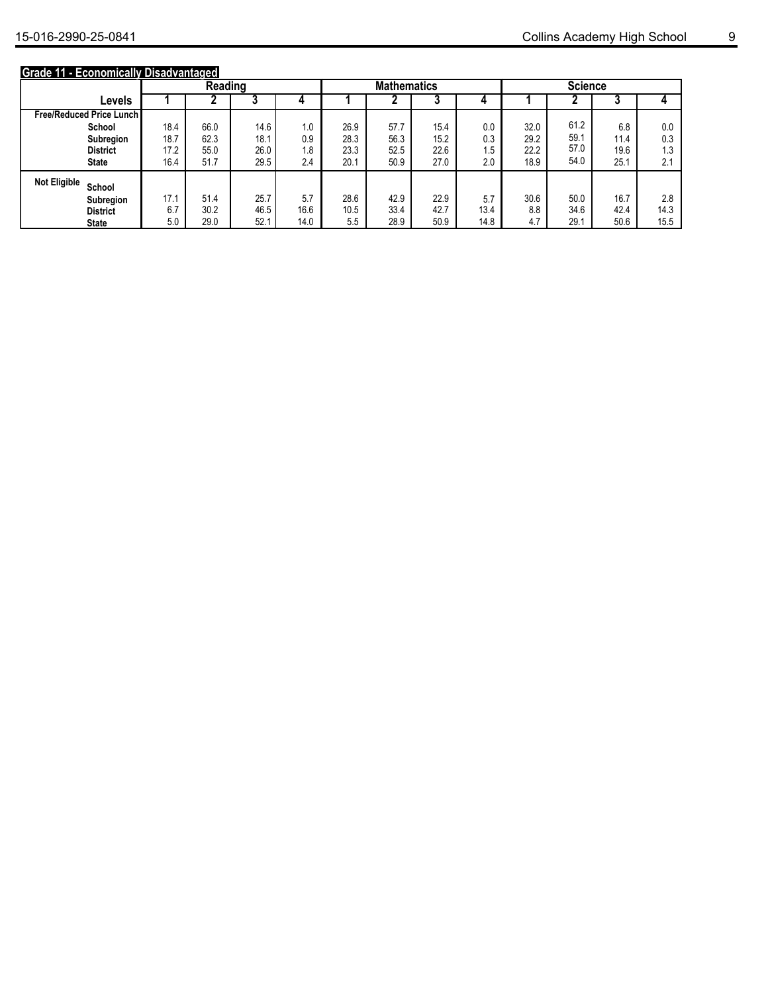### **Grade 11 - Economically Disadvantaged**

|                                   |        | ---------- | ---<br>Reading |      |      |      | <b>Mathematics</b> |      |      | <b>Science</b> |      |      |      |
|-----------------------------------|--------|------------|----------------|------|------|------|--------------------|------|------|----------------|------|------|------|
|                                   | Levels |            |                | ω    |      |      |                    |      |      |                |      | υ    |      |
| <b>Free/Reduced Price Lunch I</b> |        |            |                |      |      |      |                    |      |      |                |      |      |      |
| School                            |        | 18.4       | 66.0           | 14.6 | 1.0  | 26.9 | 57.7               | 15.4 | 0.0  | 32.0           | 61.2 | 6.8  | 0.0  |
| Subregion                         |        | 18.7       | 62.3           | 18.1 | 0.9  | 28.3 | 56.3               | 15.2 | 0.3  | 29.2           | 59.1 | 11.4 | 0.3  |
| <b>District</b>                   |        | 17.2       | 55.0           | 26.0 | 1.8  | 23.3 | 52.5               | 22.6 | 1.5  | 22.2           | 57.0 | 19.6 | 1.3  |
| <b>State</b>                      |        | 16.4       | 51.7           | 29.5 | 2.4  | 20.1 | 50.9               | 27.0 | 2.0  | 18.9           | 54.0 | 25.1 | 2.1  |
| <b>Not Eligible</b><br>School     |        |            |                |      |      |      |                    |      |      |                |      |      |      |
| Subregion                         |        | 17.1       | 51.4           | 25.7 | 5.7  | 28.6 | 42.9               | 22.9 | 5.7  | 30.6           | 50.0 | 16.7 | 2.8  |
| <b>District</b>                   |        | 6.7        | 30.2           | 46.5 | 16.6 | 10.5 | 33.4               | 42.7 | 13.4 | 8.8            | 34.6 | 42.4 | 14.3 |
| <b>State</b>                      |        | 5.0        | 29.0           | 52.1 | 14.0 | 5.5  | 28.9               | 50.9 | 14.8 | 4.7            | 29.1 | 50.6 | 15.5 |